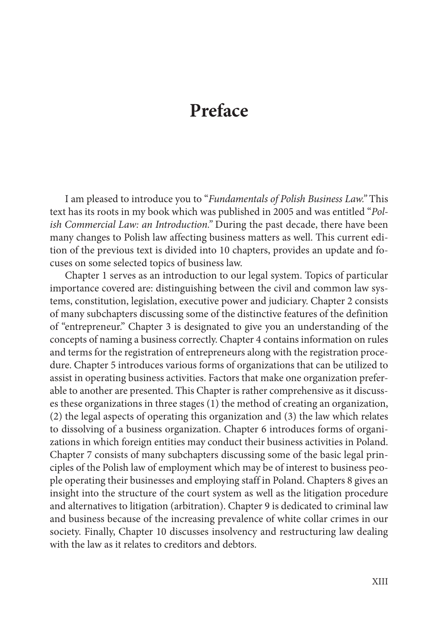## **Preface**

I am pleased to introduce you to "*Fundamentals of Polish Business Law."* This text has its roots in my book which was published in 2005 and was entitled "*Polish Commercial Law: an Introduction."* During the past decade, there have been many changes to Polish law affecting business matters as well. This current edition of the previous text is divided into 10 chapters, provides an update and focuses on some selected topics of business law.

Chapter 1 serves as an introduction to our legal system. Topics of particular importance covered are: distinguishing between the civil and common law systems, constitution, legislation, executive power and judiciary. Chapter 2 consists of many subchapters discussing some of the distinctive features of the definition of "entrepreneur." Chapter 3 is designated to give you an understanding of the concepts of naming a business correctly. Chapter 4 contains information on rules and terms for the registration of entrepreneurs along with the registration procedure. Chapter 5 introduces various forms of organizations that can be utilized to assist in operating business activities. Factors that make one organization preferable to another are presented. This Chapter is rather comprehensive as it discusses these organizations in three stages (1) the method of creating an organization, (2) the legal aspects of operating this organization and (3) the law which relates to dissolving of a business organization. Chapter 6 introduces forms of organizations in which foreign entities may conduct their business activities in Poland. Chapter 7 consists of many subchapters discussing some of the basic legal principles of the Polish law of employment which may be of interest to business people operating their businesses and employing staff in Poland. Chapters 8 gives an insight into the structure of the court system as well as the litigation procedure and alternatives to litigation (arbitration). Chapter 9 is dedicated to criminal law and business because of the increasing prevalence of white collar crimes in our society. Finally, Chapter 10 discusses insolvency and restructuring law dealing with the law as it relates to creditors and debtors.